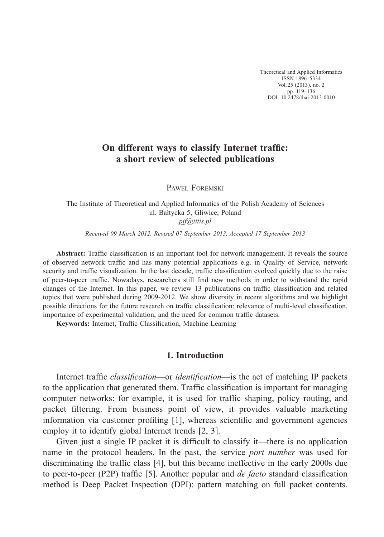Theoretical and Applied Informatics ISSN 1896–5334 Vol. 25 (2013), no. 2 pp. 119–136 DOI: 10.2478/thai-2013-0010

# **On different ways to classify Internet traffic: a short review of selected publications**

PAWEŁ FOREMSKI

The Institute of Theoretical and Applied Informatics of the Polish Academy of Sciences ul. Bałtycka 5, Gliwice, Poland *pjf@iitis.pl*

*Received 09 March 2012, Revised 07 September 2013, Accepted 17 September 2013*

Abstract: Traffic classification is an important tool for network management. It reveals the source of observed network traffic and has many potential applications e.g. in Quality of Service, network security and traffic visualization. In the last decade, traffic classification evolved quickly due to the raise of peer-to-peer traffic. Nowadays, researchers still find new methods in order to withstand the rapid changes of the Internet. In this paper, we review 13 publications on traffic classification and related topics that were published during 2009-2012. We show diversity in recent algorithms and we highlight possible directions for the future research on traffic classification: relevance of multi-level classification, importance of experimental validation, and the need for common traffic datasets.

Keywords: Internet, Traffic Classification, Machine Learning

## **1. Introduction**

Internet traffic *classification*—or *identification*—is the act of matching IP packets to the application that generated them. Traffic classification is important for managing computer networks: for example, it is used for traffic shaping, policy routing, and packet filtering. From business point of view, it provides valuable marketing information via customer profiling  $[1]$ , whereas scientific and government agencies employ it to identify global Internet trends [2, 3].

Given just a single IP packet it is difficult to classify it—there is no application name in the protocol headers. In the past, the service *port number* was used for discriminating the traffic class  $[4]$ , but this became ineffective in the early 2000s due to peer-to-peer (P2P) traffic [5]. Another popular and *de facto* standard classification method is Deep Packet Inspection (DPI): pattern matching on full packet contents.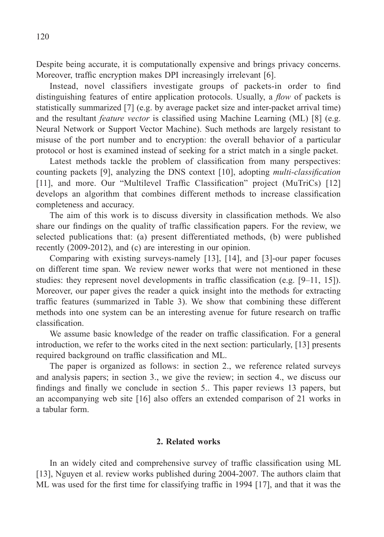Despite being accurate, it is computationally expensive and brings privacy concerns. Moreover, traffic encryption makes DPI increasingly irrelevant [6].

Instead, novel classifiers investigate groups of packets-in order to find distinguishing features of entire application protocols. Usually, a *flow* of packets is statistically summarized [7] (e.g. by average packet size and inter-packet arrival time) and the resultant *feature vector* is classified using Machine Learning (ML) [8] (e.g. Neural Network or Support Vector Machine). Such methods are largely resistant to misuse of the port number and to encryption: the overall behavior of a particular protocol or host is examined instead of seeking for a strict match in a single packet.

Latest methods tackle the problem of classification from many perspectives: counting packets [9], analyzing the DNS context [10], adopting *multi-classification* [11], and more. Our "Multilevel Traffic Classification" project (MuTriCs) [12] develops an algorithm that combines different methods to increase classification completeness and accuracy.

The aim of this work is to discuss diversity in classification methods. We also share our findings on the quality of traffic classification papers. For the review, we selected publications that: (a) present differentiated methods, (b) were published recently (2009-2012), and (c) are interesting in our opinion.

Comparing with existing surveys-namely [13], [14], and [3]-our paper focuses on different time span. We review newer works that were not mentioned in these studies: they represent novel developments in traffic classification (e.g.  $[9-11, 15]$ ). Moreover, our paper gives the reader a quick insight into the methods for extracting traffic features (summarized in Table 3). We show that combining these different methods into one system can be an interesting avenue for future research on traffic classification.

We assume basic knowledge of the reader on traffic classification. For a general introduction, we refer to the works cited in the next section: particularly, [13] presents required background on traffic classification and ML.

The paper is organized as follows: in section 2., we reference related surveys and analysis papers; in section 3., we give the review; in section 4., we discuss our findings and finally we conclude in section 5.. This paper reviews 13 papers, but an accompanying web site [16] also offers an extended comparison of 21 works in a tabular form.

## **2. Related works**

In an widely cited and comprehensive survey of traffic classification using ML [13], Nguyen et al. review works published during 2004-2007. The authors claim that ML was used for the first time for classifying traffic in 1994  $[17]$ , and that it was the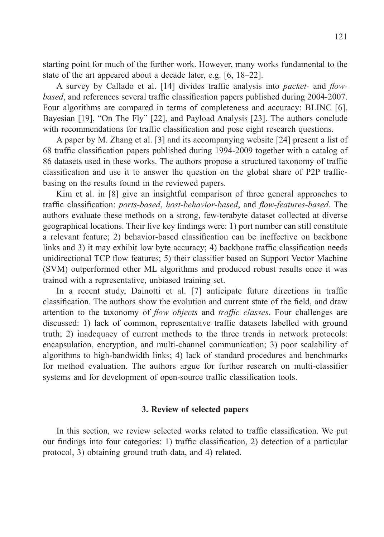starting point for much of the further work. However, many works fundamental to the state of the art appeared about a decade later, e.g. [6, 18–22].

A survey by Callado et al. [14] divides traffic analysis into *packet*- and *flowbased*, and references several traffic classification papers published during 2004-2007. Four algorithms are compared in terms of completeness and accuracy: BLINC [6], Bayesian [19], "On The Fly" [22], and Payload Analysis [23]. The authors conclude with recommendations for traffic classification and pose eight research questions.

A paper by M. Zhang et al. [3] and its accompanying website [24] present a list of 68 traffic classification papers published during 1994-2009 together with a catalog of 86 datasets used in these works. The authors propose a structured taxonomy of traffic classification and use it to answer the question on the global share of P2P trafficbasing on the results found in the reviewed papers.

Kim et al. in [8] give an insightful comparison of three general approaches to traffic classification: *ports-based*, *host-behavior-based*, and *flow-features-based*. The authors evaluate these methods on a strong, few-terabyte dataset collected at diverse geographical locations. Their five key findings were: 1) port number can still constitute a relevant feature; 2) behavior-based classification can be ineffective on backbone links and 3) it may exhibit low byte accuracy; 4) backbone traffic classification needs unidirectional TCP flow features; 5) their classifier based on Support Vector Machine (SVM) outperformed other ML algorithms and produced robust results once it was trained with a representative, unbiased training set.

In a recent study, Dainotti et al. [7] anticipate future directions in traffic classification. The authors show the evolution and current state of the field, and draw attention to the taxonomy of *flow objects* and *traffic classes*. Four challenges are discussed: 1) lack of common, representative traffic datasets labelled with ground truth; 2) inadequacy of current methods to the three trends in network protocols: encapsulation, encryption, and multi-channel communication; 3) poor scalability of algorithms to high-bandwidth links; 4) lack of standard procedures and benchmarks for method evaluation. The authors argue for further research on multi-classifier systems and for development of open-source traffic classification tools.

### **3. Review of selected papers**

In this section, we review selected works related to traffic classification. We put our findings into four categories: 1) traffic classification, 2) detection of a particular protocol, 3) obtaining ground truth data, and 4) related.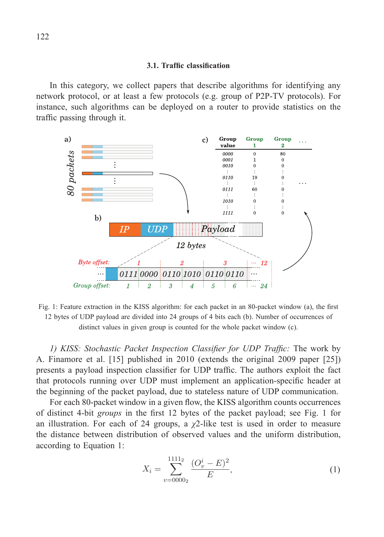#### **3.1. Traffi c classifi cation**

In this category, we collect papers that describe algorithms for identifying any network protocol, or at least a few protocols (e.g. group of P2P-TV protocols). For instance, such algorithms can be deployed on a router to provide statistics on the traffic passing through it.



Fig. 1: Feature extraction in the KISS algorithm: for each packet in an 80-packet window (a), the first 12 bytes of UDP payload are divided into 24 groups of 4 bits each (b). Number of occurrences of distinct values in given group is counted for the whole packet window (c).

1) *KISS: Stochastic Packet Inspection Classifier for UDP Traffic: The work by* A. Finamore et al. [15] published in 2010 (extends the original 2009 paper [25]) presents a payload inspection classifier for UDP traffic. The authors exploit the fact that protocols running over UDP must implement an application-specifi c header at the beginning of the packet payload, due to stateless nature of UDP communication.

For each 80-packet window in a given flow, the KISS algorithm counts occurrences of distinct 4-bit *groups* in the first 12 bytes of the packet payload; see Fig. 1 for an illustration. For each of 24 groups, a  $\chi$ 2-like test is used in order to measure the distance between distribution of observed values and the uniform distribution, according to Equation 1:

$$
X_i = \sum_{v=0000_2}^{1111_2} \frac{(O_v^i - E)^2}{E},\tag{1}
$$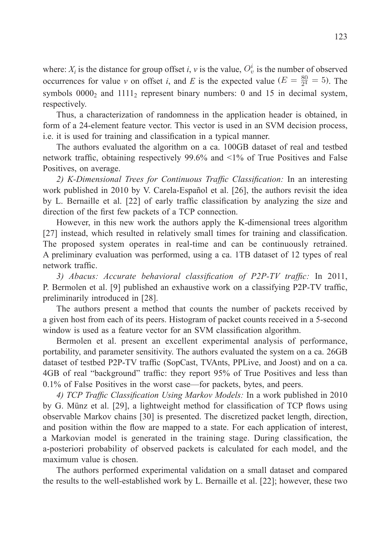where:  $X_i$  is the distance for group offset *i*, *v* is the value,  $O_v^i$  is the number of observed occurrences for value *v* on offset *i*, and *E* is the expected value ( $E = \frac{80}{2^4} = 5$ ). The symbols  $0000<sub>2</sub>$  and  $1111<sub>2</sub>$  represent binary numbers: 0 and 15 in decimal system, respectively.

Thus, a characterization of randomness in the application header is obtained, in form of a 24-element feature vector. This vector is used in an SVM decision process, i.e. it is used for training and classification in a typical manner.

The authors evaluated the algorithm on a ca. 100GB dataset of real and testbed network traffic, obtaining respectively 99.6% and  $\leq 1\%$  of True Positives and False Positives, on average.

2) K-Dimensional Trees for Continuous Traffic Classification: In an interesting work published in 2010 by V. Carela-Español et al. [26], the authors revisit the idea by L. Bernaille et al. [22] of early traffic classification by analyzing the size and direction of the first few packets of a TCP connection.

However, in this new work the authors apply the K-dimensional trees algorithm [27] instead, which resulted in relatively small times for training and classification. The proposed system operates in real-time and can be continuously retrained. A preliminary evaluation was performed, using a ca. 1TB dataset of 12 types of real network traffic.

3) Abacus: Accurate behavioral classification of P2P-TV traffic: In 2011, P. Bermolen et al. [9] published an exhaustive work on a classifying P2P-TV traffic, preliminarily introduced in [28].

The authors present a method that counts the number of packets received by a given host from each of its peers. Histogram of packet counts received in a 5-second window is used as a feature vector for an SVM classification algorithm.

Bermolen et al. present an excellent experimental analysis of performance, portability, and parameter sensitivity. The authors evaluated the system on a ca. 26GB dataset of testbed P2P-TV traffic (SopCast, TVAnts, PPLive, and Joost) and on a ca. 4GB of real "background" traffic: they report 95% of True Positives and less than 0.1% of False Positives in the worst case—for packets, bytes, and peers.

4) *TCP Traffic Classification Using Markov Models:* In a work published in 2010 by G. Münz et al. [29], a lightweight method for classification of TCP flows using observable Markov chains [30] is presented. The discretized packet length, direction, and position within the flow are mapped to a state. For each application of interest, a Markovian model is generated in the training stage. During classification, the a-posteriori probability of observed packets is calculated for each model, and the maximum value is chosen.

The authors performed experimental validation on a small dataset and compared the results to the well-established work by L. Bernaille et al. [22]; however, these two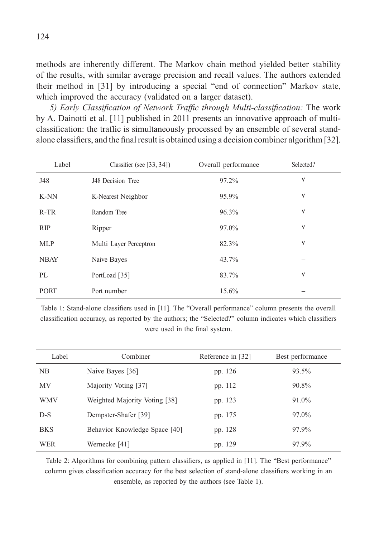methods are inherently different. The Markov chain method yielded better stability of the results, with similar average precision and recall values. The authors extended their method in [31] by introducing a special "end of connection" Markov state, which improved the accuracy (validated on a larger dataset).

*5) Early Classification of Network Traffic through Multi-classification:* The work by A. Dainotti et al. [11] published in 2011 presents an innovative approach of multiclassification: the traffic is simultaneously processed by an ensemble of several standalone classifiers, and the final result is obtained using a decision combiner algorithm [32].

| Label       | Classifier (see [33, 34]) | Overall performance | Selected?    |
|-------------|---------------------------|---------------------|--------------|
| J48         | J48 Decision Tree         | 97.2%               | ٧            |
| K-NN        | K-Nearest Neighbor        | 95.9%               | ٧            |
| $R-TR$      | Random Tree               | 96.3%               | $\checkmark$ |
| <b>RIP</b>  | Ripper                    | 97.0%               | ٧            |
| <b>MLP</b>  | Multi Layer Perceptron    | 82.3%               | ٧            |
| <b>NBAY</b> | Naive Bayes               | 43.7%               |              |
| PL          | PortLoad [35]             | 83.7%               | ٧            |
| <b>PORT</b> | Port number               | 15.6%               |              |

Table 1: Stand-alone classifiers used in [11]. The "Overall performance" column presents the overall classification accuracy, as reported by the authors; the "Selected?" column indicates which classifiers were used in the final system.

| Label      | Combiner                      | Reference in [32] | Best performance |
|------------|-------------------------------|-------------------|------------------|
| NB         | Naive Bayes [36]              | pp. 126           | 93.5%            |
| <b>MV</b>  | Majority Voting [37]          | pp. 112           | 90.8%            |
| <b>WMV</b> | Weighted Majority Voting [38] | pp. 123           | 91.0%            |
| $D-S$      | Dempster-Shafer [39]          | pp. 175           | 97.0%            |
| <b>BKS</b> | Behavior Knowledge Space [40] | pp. 128           | 97.9%            |
| <b>WER</b> | Wernecke [41]                 | pp. 129           | 97.9%            |

Table 2: Algorithms for combining pattern classifiers, as applied in [11]. The "Best performance" column gives classification accuracy for the best selection of stand-alone classifiers working in an ensemble, as reported by the authors (see Table 1).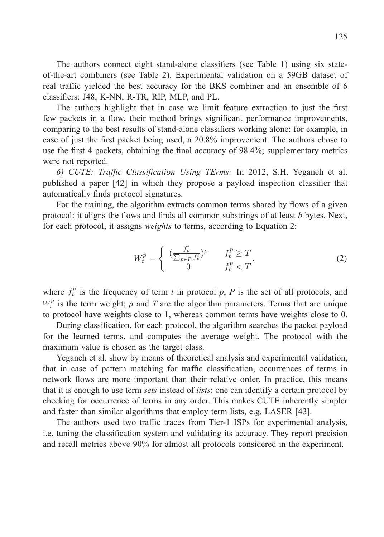The authors connect eight stand-alone classifiers (see Table 1) using six stateof-the-art combiners (see Table 2). Experimental validation on a 59GB dataset of real traffic yielded the best accuracy for the BKS combiner and an ensemble of 6 classifiers: J48, K-NN, R-TR, RIP, MLP, and PL.

The authors highlight that in case we limit feature extraction to just the first few packets in a flow, their method brings significant performance improvements, comparing to the best results of stand-alone classifiers working alone: for example, in case of just the first packet being used, a 20.8% improvement. The authors chose to use the first 4 packets, obtaining the final accuracy of 98.4%; supplementary metrics were not reported.

*6) CUTE: Traffi c Classifi cation Using TErms:* In 2012, S.H. Yeganeh et al. published a paper [42] in which they propose a payload inspection classifier that automatically finds protocol signatures.

For the training, the algorithm extracts common terms shared by flows of a given protocol: it aligns the flows and finds all common substrings of at least *b* bytes. Next, for each protocol, it assigns *weights* to terms, according to Equation 2:

$$
W_t^p = \begin{cases} \n\left(\frac{f_p^t}{\sum_{p \in P} f_p^t}\right)^\rho & f_t^p \ge T \\ \n0 & f_t^p < T \n\end{cases} \tag{2}
$$

where  $f_t^p$  is the frequency of term *t* in protocol *p*, *P* is the set of all protocols, and  $W_t^p$  is the term weight;  $\rho$  and  $T$  are the algorithm parameters. Terms that are unique to protocol have weights close to 1, whereas common terms have weights close to 0.

During classification, for each protocol, the algorithm searches the packet payload for the learned terms, and computes the average weight. The protocol with the maximum value is chosen as the target class.

Yeganeh et al. show by means of theoretical analysis and experimental validation, that in case of pattern matching for traffic classification, occurrences of terms in network flows are more important than their relative order. In practice, this means that it is enough to use term *sets* instead of *lists*: one can identify a certain protocol by checking for occurrence of terms in any order. This makes CUTE inherently simpler and faster than similar algorithms that employ term lists, e.g. LASER [43].

The authors used two traffic traces from Tier-1 ISPs for experimental analysis, i.e. tuning the classification system and validating its accuracy. They report precision and recall metrics above 90% for almost all protocols considered in the experiment.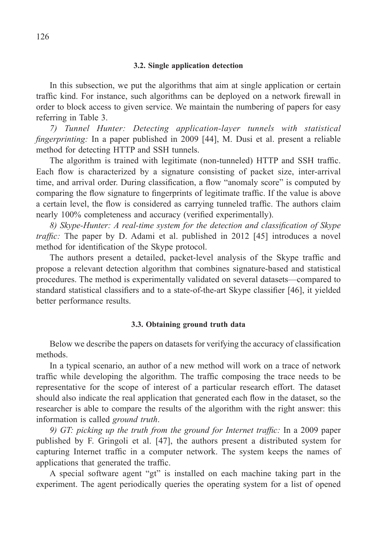### **3.2. Single application detection**

In this subsection, we put the algorithms that aim at single application or certain traffic kind. For instance, such algorithms can be deployed on a network firewall in order to block access to given service. We maintain the numbering of papers for easy referring in Table 3.

*7) Tunnel Hunter: Detecting application-layer tunnels with statistical fingerprinting:* In a paper published in 2009 [44], M. Dusi et al. present a reliable method for detecting HTTP and SSH tunnels.

The algorithm is trained with legitimate (non-tunneled) HTTP and SSH traffic. Each flow is characterized by a signature consisting of packet size, inter-arrival time, and arrival order. During classification, a flow "anomaly score" is computed by comparing the flow signature to fingerprints of legitimate traffic. If the value is above a certain level, the flow is considered as carrying tunneled traffic. The authors claim nearly 100% completeness and accuracy (verified experimentally).

*8) Skype-Hunter: A real-time system for the detection and classification of Skype traffic*: The paper by D. Adami et al. published in 2012 [45] introduces a novel method for identification of the Skype protocol.

The authors present a detailed, packet-level analysis of the Skype traffic and propose a relevant detection algorithm that combines signature-based and statistical procedures. The method is experimentally validated on several datasets—compared to standard statistical classifiers and to a state-of-the-art Skype classifier [46], it yielded better performance results.

## **3.3. Obtaining ground truth data**

Below we describe the papers on datasets for verifying the accuracy of classification methods.

In a typical scenario, an author of a new method will work on a trace of network traffic while developing the algorithm. The traffic composing the trace needs to be representative for the scope of interest of a particular research effort. The dataset should also indicate the real application that generated each flow in the dataset, so the researcher is able to compare the results of the algorithm with the right answer: this information is called *ground truth*.

9) GT: picking up the truth from the ground for Internet traffic: In a 2009 paper published by F. Gringoli et al. [47], the authors present a distributed system for capturing Internet traffic in a computer network. The system keeps the names of applications that generated the traffic.

A special software agent "gt" is installed on each machine taking part in the experiment. The agent periodically queries the operating system for a list of opened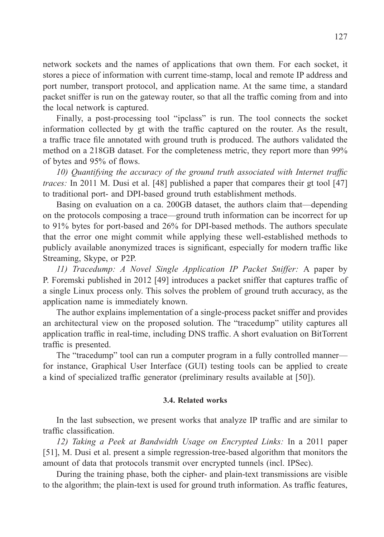network sockets and the names of applications that own them. For each socket, it stores a piece of information with current time-stamp, local and remote IP address and port number, transport protocol, and application name. At the same time, a standard packet sniffer is run on the gateway router, so that all the traffic coming from and into the local network is captured.

Finally, a post-processing tool "ipclass" is run. The tool connects the socket information collected by gt with the traffic captured on the router. As the result, a traffic trace file annotated with ground truth is produced. The authors validated the method on a 218GB dataset. For the completeness metric, they report more than 99% of bytes and 95% of flows.

*10) Quantifying the accuracy of the ground truth associated with Internet traffic traces:* In 2011 M. Dusi et al. [48] published a paper that compares their gt tool [47] to traditional port- and DPI-based ground truth establishment methods.

Basing on evaluation on a ca. 200GB dataset, the authors claim that—depending on the protocols composing a trace—ground truth information can be incorrect for up to 91% bytes for port-based and 26% for DPI-based methods. The authors speculate that the error one might commit while applying these well-established methods to publicly available anonymized traces is significant, especially for modern traffic like Streaming, Skype, or P2P.

*11) Tracedump: A Novel Single Application IP Packet Sniffer:* A paper by P. Foremski published in 2012 [49] introduces a packet sniffer that captures traffic of a single Linux process only. This solves the problem of ground truth accuracy, as the application name is immediately known.

The author explains implementation of a single-process packet sniffer and provides an architectural view on the proposed solution. The "tracedump" utility captures all application traffic in real-time, including DNS traffic. A short evaluation on BitTorrent traffic is presented.

The "tracedump" tool can run a computer program in a fully controlled manner for instance, Graphical User Interface (GUI) testing tools can be applied to create a kind of specialized traffic generator (preliminary results available at [50]).

#### **3.4. Related works**

In the last subsection, we present works that analyze IP traffic and are similar to traffic classification.

*12) Taking a Peek at Bandwidth Usage on Encrypted Links:* In a 2011 paper [51], M. Dusi et al. present a simple regression-tree-based algorithm that monitors the amount of data that protocols transmit over encrypted tunnels (incl. IPSec).

During the training phase, both the cipher- and plain-text transmissions are visible to the algorithm; the plain-text is used for ground truth information. As traffic features,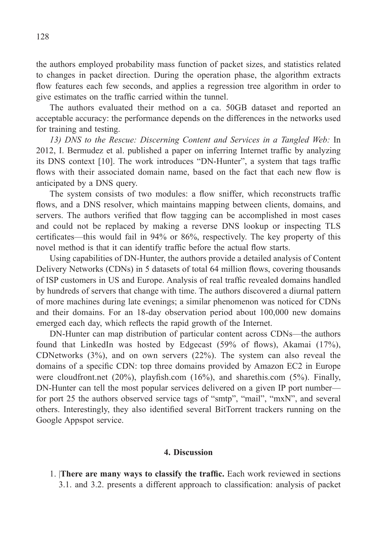the authors employed probability mass function of packet sizes, and statistics related to changes in packet direction. During the operation phase, the algorithm extracts flow features each few seconds, and applies a regression tree algorithm in order to give estimates on the traffic carried within the tunnel.

The authors evaluated their method on a ca. 50GB dataset and reported an acceptable accuracy: the performance depends on the differences in the networks used for training and testing.

*13) DNS to the Rescue: Discerning Content and Services in a Tangled Web:* In 2012, I. Bermudez et al. published a paper on inferring Internet traffic by analyzing its DNS context [10]. The work introduces "DN-Hunter", a system that tags traffic flows with their associated domain name, based on the fact that each new flow is anticipated by a DNS query.

The system consists of two modules: a flow sniffer, which reconstructs traffic flows, and a DNS resolver, which maintains mapping between clients, domains, and servers. The authors verified that flow tagging can be accomplished in most cases and could not be replaced by making a reverse DNS lookup or inspecting TLS certificates—this would fail in 94% or 86%, respectively. The key property of this novel method is that it can identify traffic before the actual flow starts.

Using capabilities of DN-Hunter, the authors provide a detailed analysis of Content Delivery Networks (CDNs) in 5 datasets of total 64 million flows, covering thousands of ISP customers in US and Europe. Analysis of real traffic revealed domains handled by hundreds of servers that change with time. The authors discovered a diurnal pattern of more machines during late evenings; a similar phenomenon was noticed for CDNs and their domains. For an 18-day observation period about 100,000 new domains emerged each day, which reflects the rapid growth of the Internet.

DN-Hunter can map distribution of particular content across CDNs—the authors found that LinkedIn was hosted by Edgecast  $(59%$  of flows), Akamai  $(17%),$ CDNetworks (3%), and on own servers (22%). The system can also reveal the domains of a specific CDN: top three domains provided by Amazon EC2 in Europe were cloudfront.net  $(20\%)$ , playfish.com  $(16\%)$ , and sharethis.com  $(5\%)$ . Finally, DN-Hunter can tell the most popular services delivered on a given IP port number for port 25 the authors observed service tags of "smtp", "mail", "mxN", and several others. Interestingly, they also identified several BitTorrent trackers running on the Google Appspot service.

#### **4. Discussion**

1. **There are many ways to classify the traffic.** Each work reviewed in sections 3.1. and 3.2. presents a different approach to classification: analysis of packet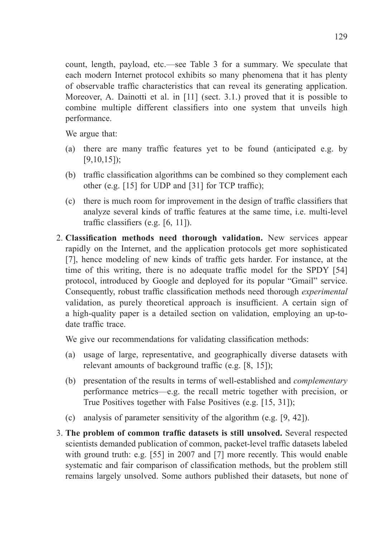count, length, payload, etc.—see Table 3 for a summary. We speculate that each modern Internet protocol exhibits so many phenomena that it has plenty of observable traffic characteristics that can reveal its generating application. Moreover, A. Dainotti et al. in [11] (sect. 3.1.) proved that it is possible to combine multiple different classifiers into one system that unveils high performance.

We argue that:

- (a) there are many traffic features yet to be found (anticipated e.g. by [9,10,15]);
- (b) traffic classification algorithms can be combined so they complement each other (e.g.  $[15]$  for UDP and  $[31]$  for TCP traffic);
- (c) there is much room for improvement in the design of traffic classifiers that analyze several kinds of traffic features at the same time, i.e. multi-level traffic classifiers (e.g.  $[6, 11]$ ).
- 2. **Classification methods need thorough validation.** New services appear rapidly on the Internet, and the application protocols get more sophisticated [7], hence modeling of new kinds of traffic gets harder. For instance, at the time of this writing, there is no adequate traffic model for the SPDY [54] protocol, introduced by Google and deployed for its popular "Gmail" service. Consequently, robust traffic classification methods need thorough *experimental* validation, as purely theoretical approach is insufficient. A certain sign of a high-quality paper is a detailed section on validation, employing an up-todate traffic trace

We give our recommendations for validating classification methods:

- (a) usage of large, representative, and geographically diverse datasets with relevant amounts of background traffic (e.g.  $[8, 15]$ );
- (b) presentation of the results in terms of well-established and *complementary*  performance metrics—e.g. the recall metric together with precision, or True Positives together with False Positives (e.g. [15, 31]);
- (c) analysis of parameter sensitivity of the algorithm (e.g. [9, 42]).
- 3. **The problem of common traffi c datasets is still unsolved.** Several respected scientists demanded publication of common, packet-level traffic datasets labeled with ground truth: e.g. [55] in 2007 and [7] more recently. This would enable systematic and fair comparison of classification methods, but the problem still remains largely unsolved. Some authors published their datasets, but none of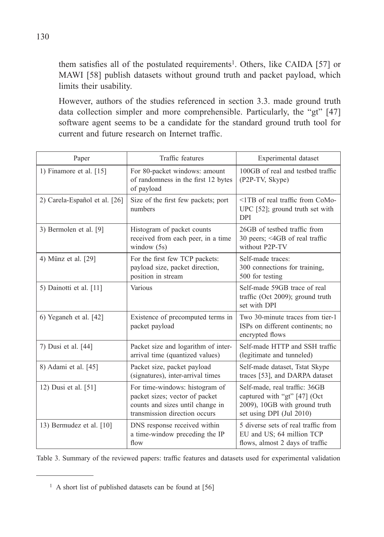them satisfies all of the postulated requirements<sup>1</sup>. Others, like CAIDA [57] or MAWI [58] publish datasets without ground truth and packet payload, which limits their usability.

 However, authors of the studies referenced in section 3.3. made ground truth data collection simpler and more comprehensible. Particularly, the "gt" [47] software agent seems to be a candidate for the standard ground truth tool for current and future research on Internet traffic.

| Paper                         | Traffic features                                                                                                                      | Experimental dataset                                                                                                       |
|-------------------------------|---------------------------------------------------------------------------------------------------------------------------------------|----------------------------------------------------------------------------------------------------------------------------|
| 1) Finamore et al. $[15]$     | For 80-packet windows: amount<br>of randomness in the first 12 bytes<br>of payload                                                    | 100GB of real and testbed traffic<br>(P2P-TV, Skype)                                                                       |
| 2) Carela-Español et al. [26] | Size of the first few packets; port<br>numbers                                                                                        | <1TB of real traffic from CoMo-<br>UPC [52]; ground truth set with<br><b>DPI</b>                                           |
| 3) Bermolen et al. [9]        | Histogram of packet counts<br>received from each peer, in a time<br>window $(5s)$                                                     | 26GB of testbed traffic from<br>30 peers; <4GB of real traffic<br>without P2P-TV                                           |
| 4) Münz et al. [29]           | For the first few TCP packets:<br>payload size, packet direction,<br>position in stream                                               | Self-made traces:<br>300 connections for training,<br>500 for testing                                                      |
| 5) Dainotti et al. [11]       | Various                                                                                                                               | Self-made 59GB trace of real<br>traffic (Oct 2009); ground truth<br>set with DPI                                           |
| 6) Yeganeh et al. [42]        | Existence of precomputed terms in<br>packet payload                                                                                   | Two 30-minute traces from tier-1<br>ISPs on different continents; no<br>encrypted flows                                    |
| 7) Dusi et al. [44]           | Packet size and logarithm of inter-<br>arrival time (quantized values)                                                                | Self-made HTTP and SSH traffic<br>(legitimate and tunneled)                                                                |
| 8) Adami et al. [45]          | Packet size, packet payload<br>(signatures), inter-arrival times                                                                      | Self-made dataset, Tstat Skype<br>traces [53], and DARPA dataset                                                           |
| 12) Dusi et al. [51]          | For time-windows: histogram of<br>packet sizes; vector of packet<br>counts and sizes until change in<br>transmission direction occurs | Self-made, real traffic: 36GB<br>captured with "gt" [47] (Oct<br>2009), 10GB with ground truth<br>set using DPI (Jul 2010) |
| 13) Bermudez et al. [10]      | DNS response received within<br>a time-window preceding the IP<br>flow                                                                | 5 diverse sets of real traffic from<br>EU and US; 64 million TCP<br>flows, almost 2 days of traffic                        |

Table 3. Summary of the reviewed papers: traffic features and datasets used for experimental validation

<sup>&</sup>lt;sup>1</sup> A short list of published datasets can be found at [56]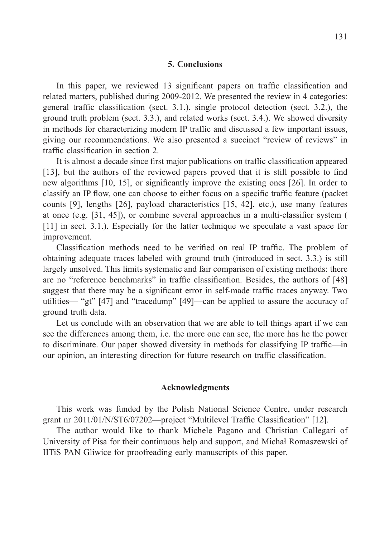## **5. Conclusions**

In this paper, we reviewed 13 significant papers on traffic classification and related matters, published during 2009-2012. We presented the review in 4 categories: general traffic classification (sect. 3.1.), single protocol detection (sect. 3.2.), the ground truth problem (sect. 3.3.), and related works (sect. 3.4.). We showed diversity in methods for characterizing modern IP traffic and discussed a few important issues, giving our recommendations. We also presented a succinct "review of reviews" in traffic classification in section 2.

It is almost a decade since first major publications on traffic classification appeared [13], but the authors of the reviewed papers proved that it is still possible to find new algorithms  $[10, 15]$ , or significantly improve the existing ones  $[26]$ . In order to classify an IP flow, one can choose to either focus on a specific traffic feature (packet counts [9], lengths [26], payload characteristics [15, 42], etc.), use many features at once (e.g.  $[31, 45]$ ), or combine several approaches in a multi-classifier system ( [11] in sect. 3.1.). Especially for the latter technique we speculate a vast space for improvement.

Classification methods need to be verified on real IP traffic. The problem of obtaining adequate traces labeled with ground truth (introduced in sect. 3.3.) is still largely unsolved. This limits systematic and fair comparison of existing methods: there are no "reference benchmarks" in traffic classification. Besides, the authors of [48] suggest that there may be a significant error in self-made traffic traces anyway. Two utilities— "gt" [47] and "tracedump" [49]—can be applied to assure the accuracy of ground truth data.

Let us conclude with an observation that we are able to tell things apart if we can see the differences among them, i.e. the more one can see, the more has he the power to discriminate. Our paper showed diversity in methods for classifying IP traffic—in our opinion, an interesting direction for future research on traffic classification.

#### **Acknowledgments**

This work was funded by the Polish National Science Centre, under research grant nr 2011/01/N/ST6/07202—project "Multilevel Traffic Classification" [12].

The author would like to thank Michele Pagano and Christian Callegari of University of Pisa for their continuous help and support, and Michał Romaszewski of IITiS PAN Gliwice for proofreading early manuscripts of this paper.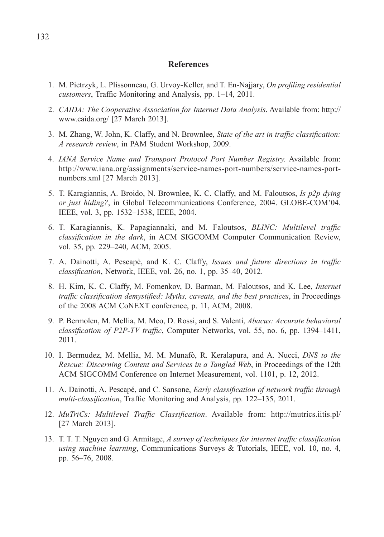#### **References**

- 1. M. Pietrzyk, L. Plissonneau, G. Urvoy-Keller, and T. En-Najjary, *On profi ling residential customers*, Traffic Monitoring and Analysis, pp. 1-14, 2011.
- 2. *CAIDA: The Cooperative Association for Internet Data Analysis*. Available from: http:// www.caida.org/ [27 March 2013].
- 3. M. Zhang, W. John, K. Claffy, and N. Brownlee, *State of the art in traffic classification*: *A research review*, in PAM Student Workshop, 2009.
- 4. *IANA Service Name and Transport Protocol Port Number Registry.* Available from: http://www.iana.org/assignments/service-names-port-numbers/service-names-portnumbers.xml [27 March 2013].
- 5. T. Karagiannis, A. Broido, N. Brownlee, K. C. Claffy, and M. Faloutsos, *Is p2p dying or just hiding?*, in Global Telecommunications Conference, 2004. GLOBE-COM'04. IEEE, vol. 3, pp. 1532–1538, IEEE, 2004.
- 6. T. Karagiannis, K. Papagiannaki, and M. Faloutsos, *BLINC: Multilevel traffi c classifi cation in the dark*, in ACM SIGCOMM Computer Communication Review, vol. 35, pp. 229–240, ACM, 2005.
- 7. A. Dainotti, A. Pescapè, and K. C. Claffy, *Issues and future directions in traffic classification*, Network, IEEE, vol. 26, no. 1, pp. 35-40, 2012.
- 8. H. Kim, K. C. Claffy, M. Fomenkov, D. Barman, M. Faloutsos, and K. Lee, *Internet traffic classification demystified: Myths, caveats, and the best practices, in Proceedings* of the 2008 ACM CoNEXT conference, p. 11, ACM, 2008.
- 9. P. Bermolen, M. Mellia, M. Meo, D. Rossi, and S. Valenti, *Abacus: Accurate behavioral classification of P2P-TV traffic*, Computer Networks, vol. 55, no. 6, pp. 1394–1411, 2011.
- 10. I. Bermudez, M. Mellia, M. M. Munafò, R. Keralapura, and A. Nucci, *DNS to the Rescue: Discerning Content and Services in a Tangled Web*, in Proceedings of the 12th ACM SIGCOMM Conference on Internet Measurement, vol. 1101, p. 12, 2012.
- 11. A. Dainotti, A. Pescapé, and C. Sansone, *Early classification of network traffic through multi-classification*, Traffic Monitoring and Analysis, pp. 122–135, 2011.
- 12. *MuTriCs: Multilevel Traffic Classification*. Available from: http://mutrics.iitis.pl/ [27 March 2013].
- 13. T. T. T. Nguyen and G. Armitage, *A survey of techniques for internet traffic classification using machine learning*, Communications Surveys & Tutorials, IEEE, vol. 10, no. 4, pp. 56–76, 2008.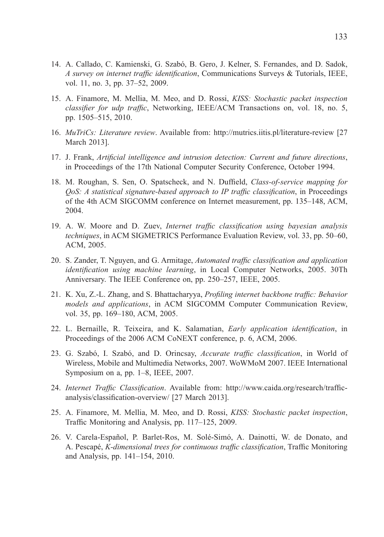- 14. A. Callado, C. Kamienski, G. Szabó, B. Gero, J. Kelner, S. Fernandes, and D. Sadok, *A survey on internet traffic identification*, Communications Surveys & Tutorials, IEEE, vol. 11, no. 3, pp. 37–52, 2009.
- 15. A. Finamore, M. Mellia, M. Meo, and D. Rossi, *KISS: Stochastic packet inspection classifier for udp traffic*, Networking, IEEE/ACM Transactions on, vol. 18, no. 5, pp. 1505–515, 2010.
- 16. *MuTriCs: Literature review*. Available from: http://mutrics.iitis.pl/literature-review [27 March 2013].
- 17. J. Frank, *Artificial intelligence and intrusion detection: Current and future directions*, in Proceedings of the 17th National Computer Security Conference, October 1994.
- 18. M. Roughan, S. Sen, O. Spatscheck, and N. Duffield, *Class-of-service mapping for QoS: A statistical signature-based approach to IP traffic classification*, in Proceedings of the 4th ACM SIGCOMM conference on Internet measurement, pp. 135–148, ACM, 2004.
- 19. A. W. Moore and D. Zuev, *Internet traffic classification using bayesian analysis techniques*, in ACM SIGMETRICS Performance Evaluation Review, vol. 33, pp. 50–60, ACM, 2005.
- 20. S. Zander, T. Nguyen, and G. Armitage, *Automated traffic classification and application identification using machine learning*, in Local Computer Networks, 2005. 30Th Anniversary. The IEEE Conference on, pp. 250–257, IEEE, 2005.
- 21. K. Xu, Z.-L. Zhang, and S. Bhattacharyya, *Profiling internet backbone traffic: Behavior models and applications*, in ACM SIGCOMM Computer Communication Review, vol. 35, pp. 169–180, ACM, 2005.
- 22. L. Bernaille, R. Teixeira, and K. Salamatian, *Early application identification*, in Proceedings of the 2006 ACM CoNEXT conference, p. 6, ACM, 2006.
- 23. G. Szabó, I. Szabó, and D. Orincsay, *Accurate traffic classification*, in World of Wireless, Mobile and Multimedia Networks, 2007. WoWMoM 2007. IEEE International Symposium on a, pp. 1–8, IEEE, 2007.
- 24. *Internet Traffic Classification*. Available from: http://www.caida.org/research/trafficanalysis/classification-overview/ [27 March 2013].
- 25. A. Finamore, M. Mellia, M. Meo, and D. Rossi, *KISS: Stochastic packet inspection*, Traffic Monitoring and Analysis, pp. 117–125, 2009.
- 26. V. Carela-Español, P. Barlet-Ros, M. Solé-Simó, A. Dainotti, W. de Donato, and A. Pescapé, *K-dimensional trees for continuous traffic classification*, Traffic Monitoring and Analysis, pp. 141–154, 2010.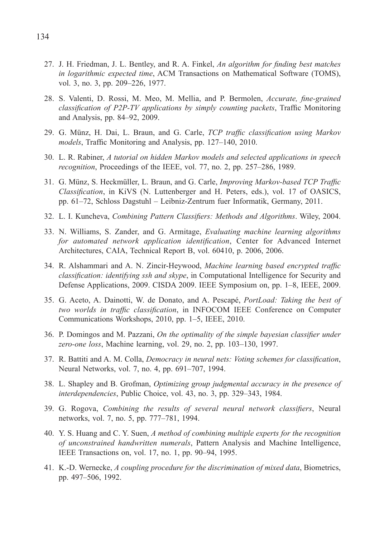- 27. J. H. Friedman, J. L. Bentley, and R. A. Finkel, *An algorithm for finding best matches in logarithmic expected time*, ACM Transactions on Mathematical Software (TOMS), vol. 3, no. 3, pp. 209–226, 1977.
- 28. S. Valenti, D. Rossi, M. Meo, M. Mellia, and P. Bermolen, *Accurate, fine-grained classification of P2P-TV applications by simply counting packets*, Traffic Monitoring and Analysis, pp. 84–92, 2009.
- 29. G. Münz, H. Dai, L. Braun, and G. Carle, *TCP traffic classification using Markov models*, Traffic Monitoring and Analysis, pp. 127–140, 2010.
- 30. L. R. Rabiner, *A tutorial on hidden Markov models and selected applications in speech recognition*, Proceedings of the IEEE, vol. 77, no. 2, pp. 257–286, 1989.
- 31. G. Münz, S. Heckmüller, L. Braun, and G. Carle, *Improving Markov-based TCP Traffi c Classifi cation*, in KiVS (N. Luttenberger and H. Peters, eds.), vol. 17 of OASICS, pp. 61–72, Schloss Dagstuhl – Leibniz-Zentrum fuer Informatik, Germany, 2011.
- 32. L. I. Kuncheva, *Combining Pattern Classifiers: Methods and Algorithms*. Wiley, 2004.
- 33. N. Williams, S. Zander, and G. Armitage, *Evaluating machine learning algorithms for automated network application identification*, Center for Advanced Internet Architectures, CAIA, Technical Report B, vol. 60410, p. 2006, 2006.
- 34. R. Alshammari and A. N. Zincir-Heywood, *Machine learning based encrypted traffic* classification: identifying ssh and skype, in Computational Intelligence for Security and Defense Applications, 2009. CISDA 2009. IEEE Symposium on, pp. 1–8, IEEE, 2009.
- 35. G. Aceto, A. Dainotti, W. de Donato, and A. Pescapé, *PortLoad: Taking the best of two worlds in traffic classification*, in INFOCOM IEEE Conference on Computer Communications Workshops, 2010, pp. 1–5, IEEE, 2010.
- 36. P. Domingos and M. Pazzani, *On the optimality of the simple bayesian classifier under zero-one loss*, Machine learning, vol. 29, no. 2, pp. 103–130, 1997.
- 37. R. Battiti and A. M. Colla, *Democracy in neural nets: Voting schemes for classification*, Neural Networks, vol. 7, no. 4, pp. 691–707, 1994.
- 38. L. Shapley and B. Grofman, *Optimizing group judgmental accuracy in the presence of interdependencies*, Public Choice, vol. 43, no. 3, pp. 329–343, 1984.
- 39. G. Rogova, *Combining the results of several neural network classifiers*, Neural networks, vol. 7, no. 5, pp. 777–781, 1994.
- 40. Y. S. Huang and C. Y. Suen, *A method of combining multiple experts for the recognition of unconstrained handwritten numerals*, Pattern Analysis and Machine Intelligence, IEEE Transactions on, vol. 17, no. 1, pp. 90–94, 1995.
- 41. K.-D. Wernecke, *A coupling procedure for the discrimination of mixed data*, Biometrics, pp. 497–506, 1992.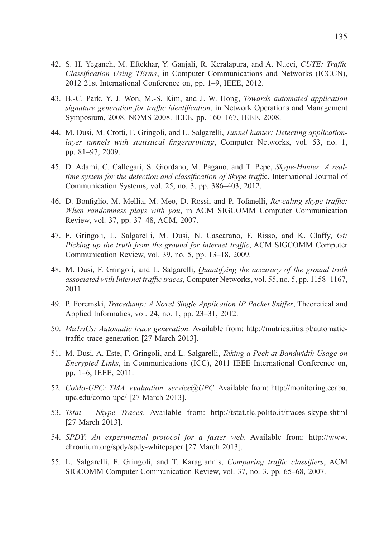- 42. S. H. Yeganeh, M. Eftekhar, Y. Ganjali, R. Keralapura, and A. Nucci, *CUTE: Traffic Classification Using TErms*, in Computer Communications and Networks (ICCCN), 2012 21st International Conference on, pp. 1–9, IEEE, 2012.
- 43. B.-C. Park, Y. J. Won, M.-S. Kim, and J. W. Hong, *Towards automated application signature generation for traffic identification*, in Network Operations and Management Symposium, 2008. NOMS 2008. IEEE, pp. 160–167, IEEE, 2008.
- 44. M. Dusi, M. Crotti, F. Gringoli, and L. Salgarelli, *Tunnel hunter: Detecting applicationlayer tunnels with statistical fingerprinting*, Computer Networks, vol. 53, no. 1, pp. 81–97, 2009.
- 45. D. Adami, C. Callegari, S. Giordano, M. Pagano, and T. Pepe, *Skype-Hunter: A realtime system for the detection and classification of Skype traffic*, International Journal of Communication Systems, vol. 25, no. 3, pp. 386–403, 2012.
- 46. D. Bonfiglio, M. Mellia, M. Meo, D. Rossi, and P. Tofanelli, *Revealing skype traffic: When randomness plays with you*, in ACM SIGCOMM Computer Communication Review, vol. 37, pp. 37–48, ACM, 2007.
- 47. F. Gringoli, L. Salgarelli, M. Dusi, N. Cascarano, F. Risso, and K. Claffy, *Gt: Picking up the truth from the ground for internet traffic*, ACM SIGCOMM Computer Communication Review, vol. 39, no. 5, pp. 13–18, 2009.
- 48. M. Dusi, F. Gringoli, and L. Salgarelli, *Quantifying the accuracy of the ground truth associated with Internet traffic traces*, Computer Networks, vol. 55, no. 5, pp. 1158–1167, 2011.
- 49. P. Foremski, *Tracedump: A Novel Single Application IP Packet Sniffer*, Theoretical and Applied Informatics, vol. 24, no. 1, pp. 23–31, 2012.
- 50. *MuTriCs: Automatic trace generation*. Available from: http://mutrics.iitis.pl/automatictraffic-trace-generation [27 March 2013].
- 51. M. Dusi, A. Este, F. Gringoli, and L. Salgarelli, *Taking a Peek at Bandwidth Usage on Encrypted Links*, in Communications (ICC), 2011 IEEE International Conference on, pp. 1–6, IEEE, 2011.
- 52. *CoMo-UPC: TMA evaluation service@UPC*. Available from: http://monitoring.ccaba. upc.edu/como-upc/ [27 March 2013].
- 53. *Tstat Skype Traces*. Available from: http://tstat.tlc.polito.it/traces-skype.shtml [27 March 2013].
- 54. *SPDY: An experimental protocol for a faster web*. Available from: http://www. chromium.org/spdy/spdy-whitepaper [27 March 2013].
- 55. L. Salgarelli, F. Gringoli, and T. Karagiannis, *Comparing traffic classifiers*, ACM SIGCOMM Computer Communication Review, vol. 37, no. 3, pp. 65–68, 2007.